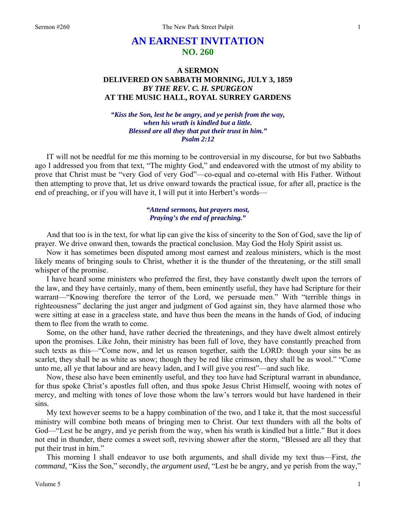# **AN EARNEST INVITATION NO. 260**

# **A SERMON DELIVERED ON SABBATH MORNING, JULY 3, 1859**  *BY THE REV. C. H. SPURGEON*  **AT THE MUSIC HALL, ROYAL SURREY GARDENS**

*"Kiss the Son, lest he be angry, and ye perish from the way, when his wrath is kindled but a little. Blessed are all they that put their trust in him." Psalm 2:12* 

IT will not be needful for me this morning to be controversial in my discourse, for but two Sabbaths ago I addressed you from that text, "The mighty God," and endeavored with the utmost of my ability to prove that Christ must be "very God of very God"—co-equal and co-eternal with His Father. Without then attempting to prove that, let us drive onward towards the practical issue, for after all, practice is the end of preaching, or if you will have it, I will put it into Herbert's words—

## *"Attend sermons, but prayers most, Praying's the end of preaching."*

And that too is in the text, for what lip can give the kiss of sincerity to the Son of God, save the lip of prayer. We drive onward then, towards the practical conclusion. May God the Holy Spirit assist us.

Now it has sometimes been disputed among most earnest and zealous ministers, which is the most likely means of bringing souls to Christ, whether it is the thunder of the threatening, or the still small whisper of the promise.

I have heard some ministers who preferred the first, they have constantly dwelt upon the terrors of the law, and they have certainly, many of them, been eminently useful, they have had Scripture for their warrant—"Knowing therefore the terror of the Lord, we persuade men." With "terrible things in righteousness" declaring the just anger and judgment of God against sin, they have alarmed those who were sitting at ease in a graceless state, and have thus been the means in the hands of God, of inducing them to flee from the wrath to come.

Some, on the other hand, have rather decried the threatenings, and they have dwelt almost entirely upon the promises. Like John, their ministry has been full of love, they have constantly preached from such texts as this—"Come now, and let us reason together, saith the LORD: though your sins be as scarlet, they shall be as white as snow; though they be red like crimson, they shall be as wool." "Come unto me, all ye that labour and are heavy laden, and I will give you rest"—and such like.

Now, these also have been eminently useful, and they too have had Scriptural warrant in abundance, for thus spoke Christ's apostles full often, and thus spoke Jesus Christ Himself, wooing with notes of mercy, and melting with tones of love those whom the law's terrors would but have hardened in their sins.

My text however seems to be a happy combination of the two, and I take it, that the most successful ministry will combine both means of bringing men to Christ. Our text thunders with all the bolts of God—"Lest he be angry, and ye perish from the way, when his wrath is kindled but a little." But it does not end in thunder, there comes a sweet soft, reviving shower after the storm, "Blessed are all they that put their trust in him."

This morning I shall endeavor to use both arguments, and shall divide my text thus—First, *the command,* "Kiss the Son," secondly, *the argument used,* "Lest he be angry, and ye perish from the way,"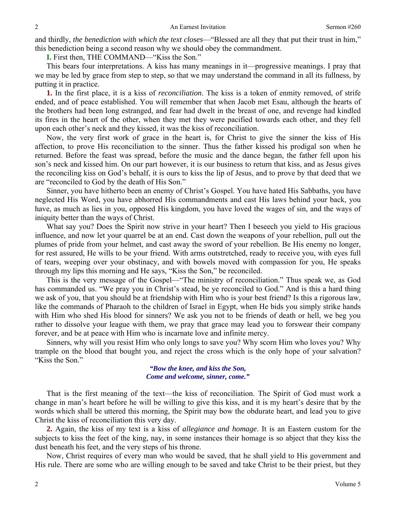and thirdly, *the benediction with which the text closes*—"Blessed are all they that put their trust in him," this benediction being a second reason why we should obey the commandment.

**I.** First then, THE COMMAND—"Kiss the Son."

This bears four interpretations. A kiss has many meanings in it—progressive meanings. I pray that we may be led by grace from step to step, so that we may understand the command in all its fullness, by putting it in practice.

**1.** In the first place, it is a kiss of *reconciliation*. The kiss is a token of enmity removed, of strife ended, and of peace established. You will remember that when Jacob met Esau, although the hearts of the brothers had been long estranged, and fear had dwelt in the breast of one, and revenge had kindled its fires in the heart of the other, when they met they were pacified towards each other, and they fell upon each other's neck and they kissed, it was the kiss of reconciliation.

Now, the very first work of grace in the heart is, for Christ to give the sinner the kiss of His affection, to prove His reconciliation to the sinner. Thus the father kissed his prodigal son when he returned. Before the feast was spread, before the music and the dance began, the father fell upon his son's neck and kissed him. On our part however, it is our business to return that kiss, and as Jesus gives the reconciling kiss on God's behalf, it is ours to kiss the lip of Jesus, and to prove by that deed that we are "reconciled to God by the death of His Son."

Sinner, you have hitherto been an enemy of Christ's Gospel. You have hated His Sabbaths, you have neglected His Word, you have abhorred His commandments and cast His laws behind your back, you have, as much as lies in you, opposed His kingdom, you have loved the wages of sin, and the ways of iniquity better than the ways of Christ.

What say you? Does the Spirit now strive in your heart? Then I beseech you yield to His gracious influence, and now let your quarrel be at an end. Cast down the weapons of your rebellion, pull out the plumes of pride from your helmet, and cast away the sword of your rebellion. Be His enemy no longer, for rest assured, He wills to be your friend. With arms outstretched, ready to receive you, with eyes full of tears, weeping over your obstinacy, and with bowels moved with compassion for you, He speaks through my lips this morning and He says, "Kiss the Son," be reconciled.

This is the very message of the Gospel—"The ministry of reconciliation." Thus speak we, as God has commanded us. "We pray you in Christ's stead, be ye reconciled to God." And is this a hard thing we ask of you, that you should be at friendship with Him who is your best friend? Is this a rigorous law, like the commands of Pharaoh to the children of Israel in Egypt, when He bids you simply strike hands with Him who shed His blood for sinners? We ask you not to be friends of death or hell, we beg you rather to dissolve your league with them, we pray that grace may lead you to forswear their company forever, and be at peace with Him who is incarnate love and infinite mercy.

Sinners, why will you resist Him who only longs to save you? Why scorn Him who loves you? Why trample on the blood that bought you, and reject the cross which is the only hope of your salvation? "Kiss the Son."

> *"Bow the knee, and kiss the Son, Come and welcome, sinner, come."*

That is the first meaning of the text—the kiss of reconciliation. The Spirit of God must work a change in man's heart before he will be willing to give this kiss, and it is my heart's desire that by the words which shall be uttered this morning, the Spirit may bow the obdurate heart, and lead you to give Christ the kiss of reconciliation this very day.

**2.** Again, the kiss of my text is a kiss of *allegiance and homage*. It is an Eastern custom for the subjects to kiss the feet of the king, nay, in some instances their homage is so abject that they kiss the dust beneath his feet, and the very steps of his throne.

Now, Christ requires of every man who would be saved, that he shall yield to His government and His rule. There are some who are willing enough to be saved and take Christ to be their priest, but they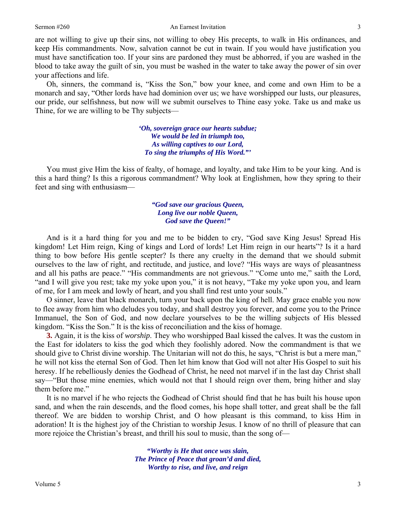### Sermon #260 An Earnest Invitation

are not willing to give up their sins, not willing to obey His precepts, to walk in His ordinances, and keep His commandments. Now, salvation cannot be cut in twain. If you would have justification you must have sanctification too. If your sins are pardoned they must be abhorred, if you are washed in the blood to take away the guilt of sin, you must be washed in the water to take away the power of sin over your affections and life.

Oh, sinners, the command is, "Kiss the Son," bow your knee, and come and own Him to be a monarch and say, "Other lords have had dominion over us; we have worshipped our lusts, our pleasures, our pride, our selfishness, but now will we submit ourselves to Thine easy yoke. Take us and make us Thine, for we are willing to be Thy subjects—

> *'Oh, sovereign grace our hearts subdue; We would be led in triumph too, As willing captives to our Lord, To sing the triumphs of His Word."'*

You must give Him the kiss of fealty, of homage, and loyalty, and take Him to be your king. And is this a hard thing? Is this a rigorous commandment? Why look at Englishmen, how they spring to their feet and sing with enthusiasm—

### *"God save our gracious Queen, Long live our noble Queen, God save the Queen!"*

And is it a hard thing for you and me to be bidden to cry, "God save King Jesus! Spread His kingdom! Let Him reign, King of kings and Lord of lords! Let Him reign in our hearts"? Is it a hard thing to bow before His gentle scepter? Is there any cruelty in the demand that we should submit ourselves to the law of right, and rectitude, and justice, and love? "His ways are ways of pleasantness and all his paths are peace." "His commandments are not grievous." "Come unto me," saith the Lord, "and I will give you rest; take my yoke upon you," it is not heavy, "Take my yoke upon you, and learn of me, for I am meek and lowly of heart, and you shall find rest unto your souls."

O sinner, leave that black monarch, turn your back upon the king of hell. May grace enable you now to flee away from him who deludes you today, and shall destroy you forever, and come you to the Prince Immanuel, the Son of God, and now declare yourselves to be the willing subjects of His blessed kingdom. "Kiss the Son." It is the kiss of reconciliation and the kiss of homage.

**3.** Again, it is the kiss of *worship*. They who worshipped Baal kissed the calves. It was the custom in the East for idolaters to kiss the god which they foolishly adored. Now the commandment is that we should give to Christ divine worship. The Unitarian will not do this, he says, "Christ is but a mere man," he will not kiss the eternal Son of God. Then let him know that God will not alter His Gospel to suit his heresy. If he rebelliously denies the Godhead of Christ, he need not marvel if in the last day Christ shall say—"But those mine enemies, which would not that I should reign over them, bring hither and slay them before me."

It is no marvel if he who rejects the Godhead of Christ should find that he has built his house upon sand, and when the rain descends, and the flood comes, his hope shall totter, and great shall be the fall thereof. We are bidden to worship Christ, and O how pleasant is this command, to kiss Him in adoration! It is the highest joy of the Christian to worship Jesus. I know of no thrill of pleasure that can more rejoice the Christian's breast, and thrill his soul to music, than the song of—

> *"Worthy is He that once was slain, The Prince of Peace that groan'd and died, Worthy to rise, and live, and reign*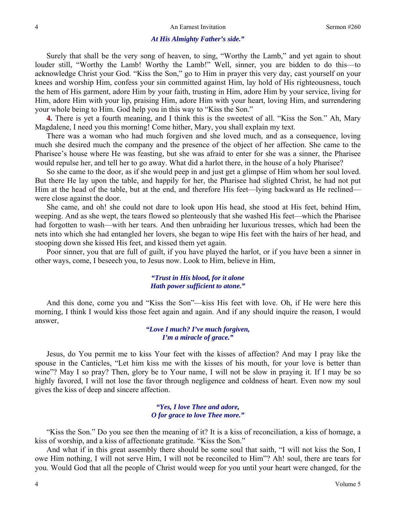### *At His Almighty Father's side."*

Surely that shall be the very song of heaven, to sing, "Worthy the Lamb," and yet again to shout louder still, "Worthy the Lamb! Worthy the Lamb!" Well, sinner, you are bidden to do this—to acknowledge Christ your God. "Kiss the Son," go to Him in prayer this very day, cast yourself on your knees and worship Him, confess your sin committed against Him, lay hold of His righteousness, touch the hem of His garment, adore Him by your faith, trusting in Him, adore Him by your service, living for Him, adore Him with your lip, praising Him, adore Him with your heart, loving Him, and surrendering your whole being to Him. God help you in this way to "Kiss the Son."

**4.** There is yet a fourth meaning, and I think this is the sweetest of all. "Kiss the Son." Ah, Mary Magdalene, I need you this morning! Come hither, Mary, you shall explain my text.

There was a woman who had much forgiven and she loved much, and as a consequence, loving much she desired much the company and the presence of the object of her affection. She came to the Pharisee's house where He was feasting, but she was afraid to enter for she was a sinner, the Pharisee would repulse her, and tell her to go away. What did a harlot there, in the house of a holy Pharisee?

So she came to the door, as if she would peep in and just get a glimpse of Him whom her soul loved. But there He lay upon the table, and happily for her, the Pharisee had slighted Christ, he had not put Him at the head of the table, but at the end, and therefore His feet—lying backward as He reclined were close against the door.

She came, and oh! she could not dare to look upon His head, she stood at His feet, behind Him, weeping. And as she wept, the tears flowed so plenteously that she washed His feet—which the Pharisee had forgotten to wash—with her tears. And then unbraiding her luxurious tresses, which had been the nets into which she had entangled her lovers, she began to wipe His feet with the hairs of her head, and stooping down she kissed His feet, and kissed them yet again.

Poor sinner, you that are full of guilt, if you have played the harlot, or if you have been a sinner in other ways, come, I beseech you, to Jesus now. Look to Him, believe in Him,

# *"Trust in His blood, for it alone Hath power sufficient to atone."*

And this done, come you and "Kiss the Son"—kiss His feet with love. Oh, if He were here this morning, I think I would kiss those feet again and again. And if any should inquire the reason, I would answer,

> *"Love I much? I've much forgiven, I'm a miracle of grace."*

Jesus, do You permit me to kiss Your feet with the kisses of affection? And may I pray like the spouse in the Canticles, "Let him kiss me with the kisses of his mouth, for your love is better than wine"? May I so pray? Then, glory be to Your name, I will not be slow in praying it. If I may be so highly favored, I will not lose the favor through negligence and coldness of heart. Even now my soul gives the kiss of deep and sincere affection.

### *"Yes, I love Thee and adore, O for grace to love Thee more."*

"Kiss the Son." Do you see then the meaning of it? It is a kiss of reconciliation, a kiss of homage, a kiss of worship, and a kiss of affectionate gratitude. "Kiss the Son."

And what if in this great assembly there should be some soul that saith, "I will not kiss the Son, I owe Him nothing, I will not serve Him, I will not be reconciled to Him"? Ah! soul, there are tears for you. Would God that all the people of Christ would weep for you until your heart were changed, for the

4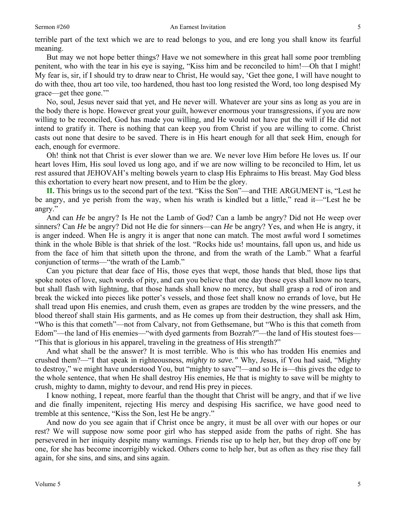terrible part of the text which we are to read belongs to you, and ere long you shall know its fearful meaning.

But may we not hope better things? Have we not somewhere in this great hall some poor trembling penitent, who with the tear in his eye is saying, "Kiss him and be reconciled to him!—Oh that I might! My fear is, sir, if I should try to draw near to Christ, He would say, 'Get thee gone, I will have nought to do with thee, thou art too vile, too hardened, thou hast too long resisted the Word, too long despised My grace—get thee gone.'"

No, soul, Jesus never said that yet, and He never will. Whatever are your sins as long as you are in the body there is hope. However great your guilt, however enormous your transgressions, if you are now willing to be reconciled, God has made you willing, and He would not have put the will if He did not intend to gratify it. There is nothing that can keep you from Christ if you are willing to come. Christ casts out none that desire to be saved. There is in His heart enough for all that seek Him, enough for each, enough for evermore.

Oh! think not that Christ is ever slower than we are. We never love Him before He loves us. If our heart loves Him, His soul loved us long ago, and if we are now willing to be reconciled to Him, let us rest assured that JEHOVAH's melting bowels yearn to clasp His Ephraims to His breast. May God bless this exhortation to every heart now present, and to Him be the glory.

**II.** This brings us to the second part of the text. "Kiss the Son"—and THE ARGUMENT is, "Lest he be angry, and ye perish from the way, when his wrath is kindled but a little," read it—"Lest he be angry."

And can *He* be angry? Is He not the Lamb of God? Can a lamb be angry? Did not He weep over sinners? Can *He* be angry? Did not He die for sinners—can *He* be angry? Yes, and when He is angry, it is anger indeed. When He is angry it is anger that none can match. The most awful word I sometimes think in the whole Bible is that shriek of the lost. "Rocks hide us! mountains, fall upon us, and hide us from the face of him that sitteth upon the throne, and from the wrath of the Lamb." What a fearful conjunction of terms—"the wrath of the Lamb."

Can you picture that dear face of His, those eyes that wept, those hands that bled, those lips that spoke notes of love, such words of pity, and can you believe that one day those eyes shall know no tears, but shall flash with lightning, that those hands shall know no mercy, but shall grasp a rod of iron and break the wicked into pieces like potter's vessels, and those feet shall know no errands of love, but He shall tread upon His enemies, and crush them, even as grapes are trodden by the wine pressers, and the blood thereof shall stain His garments, and as He comes up from their destruction, they shall ask Him, "Who is this that cometh"—not from Calvary, not from Gethsemane, but "Who is this that cometh from Edom"—the land of His enemies—"with dyed garments from Bozrah?"—the land of His stoutest foes— "This that is glorious in his apparel, traveling in the greatness of His strength?"

And what shall be the answer? It is most terrible. Who is this who has trodden His enemies and crushed them?—"I that speak in righteousness, *mighty to save."* Why, Jesus, if You had said, "Mighty to destroy," we might have understood You, but "mighty to save"!—and so He is—this gives the edge to the whole sentence, that when He shall destroy His enemies, He that is mighty to save will be mighty to crush, mighty to damn, mighty to devour, and rend His prey in pieces.

I know nothing, I repeat, more fearful than the thought that Christ will be angry, and that if we live and die finally impenitent, rejecting His mercy and despising His sacrifice, we have good need to tremble at this sentence, "Kiss the Son, lest He be angry."

And now do you see again that if Christ once be angry, it must be all over with our hopes or our rest? We will suppose now some poor girl who has stepped aside from the paths of right. She has persevered in her iniquity despite many warnings. Friends rise up to help her, but they drop off one by one, for she has become incorrigibly wicked. Others come to help her, but as often as they rise they fall again, for she sins, and sins, and sins again.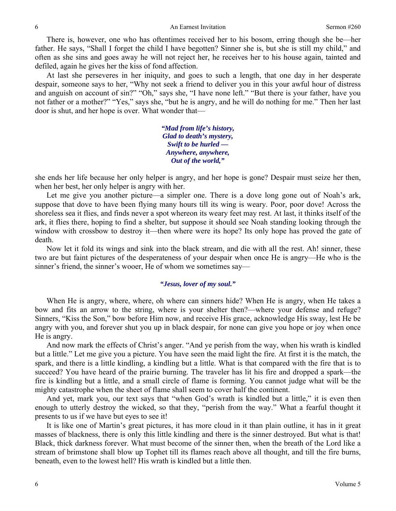There is, however, one who has oftentimes received her to his bosom, erring though she be—her father. He says, "Shall I forget the child I have begotten? Sinner she is, but she is still my child," and often as she sins and goes away he will not reject her, he receives her to his house again, tainted and defiled, again he gives her the kiss of fond affection.

At last she perseveres in her iniquity, and goes to such a length, that one day in her desperate despair, someone says to her, "Why not seek a friend to deliver you in this your awful hour of distress and anguish on account of sin?" "Oh," says she, "I have none left." "But there is your father, have you not father or a mother?" "Yes," says she, "but he is angry, and he will do nothing for me." Then her last door is shut, and her hope is over. What wonder that—

> *"Mad from life's history, Glad to death's mystery, Swift to be hurled — Anywhere, anywhere, Out of the world,"*

she ends her life because her only helper is angry, and her hope is gone? Despair must seize her then, when her best, her only helper is angry with her.

Let me give you another picture—a simpler one. There is a dove long gone out of Noah's ark, suppose that dove to have been flying many hours till its wing is weary. Poor, poor dove! Across the shoreless sea it flies, and finds never a spot whereon its weary feet may rest. At last, it thinks itself of the ark, it flies there, hoping to find a shelter, but suppose it should see Noah standing looking through the window with crossbow to destroy it—then where were its hope? Its only hope has proved the gate of death.

Now let it fold its wings and sink into the black stream, and die with all the rest. Ah! sinner, these two are but faint pictures of the desperateness of your despair when once He is angry—He who is the sinner's friend, the sinner's wooer, He of whom we sometimes say—

### *"Jesus, lover of my soul."*

When He is angry, where, where, oh where can sinners hide? When He is angry, when He takes a bow and fits an arrow to the string, where is your shelter then?—where your defense and refuge? Sinners, "Kiss the Son," bow before Him now, and receive His grace, acknowledge His sway, lest He be angry with you, and forever shut you up in black despair, for none can give you hope or joy when once He is angry.

And now mark the effects of Christ's anger. "And ye perish from the way, when his wrath is kindled but a little." Let me give you a picture. You have seen the maid light the fire. At first it is the match, the spark, and there is a little kindling, a kindling but a little. What is that compared with the fire that is to succeed? You have heard of the prairie burning. The traveler has lit his fire and dropped a spark—the fire is kindling but a little, and a small circle of flame is forming. You cannot judge what will be the mighty catastrophe when the sheet of flame shall seem to cover half the continent.

And yet, mark you, our text says that "when God's wrath is kindled but a little," it is even then enough to utterly destroy the wicked, so that they, "perish from the way." What a fearful thought it presents to us if we have but eyes to see it!

It is like one of Martin's great pictures, it has more cloud in it than plain outline, it has in it great masses of blackness, there is only this little kindling and there is the sinner destroyed. But what is that! Black, thick darkness forever. What must become of the sinner then, when the breath of the Lord like a stream of brimstone shall blow up Tophet till its flames reach above all thought, and till the fire burns, beneath, even to the lowest hell? His wrath is kindled but a little then.

6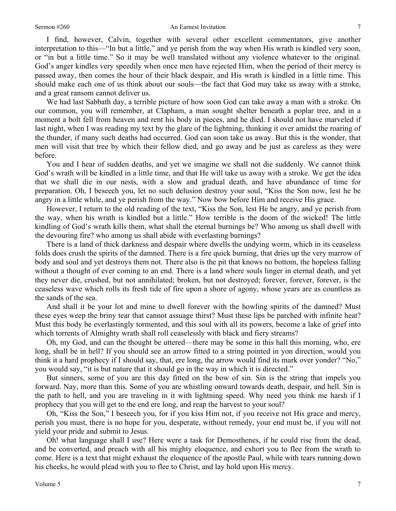### Sermon #260 An Earnest Invitation

I find, however, Calvin, together with several other excellent commentators, give another interpretation to this—"In but a little," and ye perish from the way when His wrath is kindled very soon, or "in but a little time." So it may be well translated without any violence whatever to the original. God's anger kindles very speedily when once men have rejected Him, when the period of their mercy is passed away, then comes the hour of their black despair, and His wrath is kindled in a little time. This should make each one of us think about our souls—the fact that God may take us away with a stroke, and a great ransom cannot deliver us.

We had last Sabbath day, a terrible picture of how soon God can take away a man with a stroke. On our common, you will remember, at Clapham, a man sought shelter beneath a poplar tree, and in a moment a bolt fell from heaven and rent his body in pieces, and he died. I should not have marveled if last night, when I was reading my text by the glare of the lightning, thinking it over amidst the roaring of the thunder, if many such deaths had occurred. God can soon take us away. But this is the wonder, that men will visit that tree by which their fellow died, and go away and be just as careless as they were before.

You and I hear of sudden deaths, and yet we imagine we shall not die suddenly. We cannot think God's wrath will be kindled in a little time, and that He will take us away with a stroke. We get the idea that we shall die in our nests, with a slow and gradual death, and have abundance of time for preparation. Oh, I beseech you, let no such delusion destroy your soul, "Kiss the Son now, lest he be angry in a little while, and ye perish from the way." Now bow before Him and receive His grace.

However, I return to the old reading of the text, "Kiss the Son, lest He be angry, and ye perish from the way, when his wrath is kindled but a little." How terrible is the doom of the wicked! The little kindling of God's wrath kills them, what shall the eternal burnings be? Who among us shall dwell with the devouring fire? who among us shall abide with everlasting burnings?

There is a land of thick darkness and despair where dwells the undying worm, which in its ceaseless folds does crush the spirits of the damned. There is a fire quick burning, that dries up the very marrow of body and soul and yet destroys them not. There also is the pit that knows no bottom, the hopeless falling without a thought of ever coming to an end. There is a land where souls linger in eternal death, and yet they never die, crushed, but not annihilated; broken, but not destroyed; forever, forever, forever, is the ceaseless wave which rolls its fresh tide of fire upon a shore of agony, whose years are as countless as the sands of the sea.

And shall it be your lot and mine to dwell forever with the howling spirits of the damned? Must these eyes weep the briny tear that cannot assuage thirst? Must these lips be parched with infinite heat? Must this body be everlastingly tormented, and this soul with all its powers, become a lake of grief into which torrents of Almighty wrath shall roll ceaselessly with black and fiery streams?

Oh, my God, and can the thought be uttered—there may be some in this hall this morning, who, ere long, shall be in hell? If you should see an arrow fitted to a string pointed in yon direction, would you think it a hard prophecy if I should say, that, ere long, the arrow would find its mark over yonder? "No," you would say, "it is but nature that it should go in the way in which it is directed."

But sinners, some of you are this day fitted on the bow of sin. Sin is the string that impels you forward. Nay, more than this. Some of you are whistling onward towards death, despair, and hell. Sin is the path to hell, and you are traveling in it with lightning speed. Why need you think me harsh if I prophecy that you will get to the end ere long, and reap the harvest to your soul?

Oh, "Kiss the Son," I beseech you, for if you kiss Him not, if you receive not His grace and mercy, perish you must, there is no hope for you, desperate, without remedy, your end must be, if you will not yield your pride and submit to Jesus.

Oh! what language shall I use? Here were a task for Demosthenes, if he could rise from the dead, and be converted, and preach with all his mighty eloquence, and exhort you to flee from the wrath to come. Here is a text that might exhaust the eloquence of the apostle Paul, while with tears running down his cheeks, he would plead with you to flee to Christ, and lay hold upon His mercy.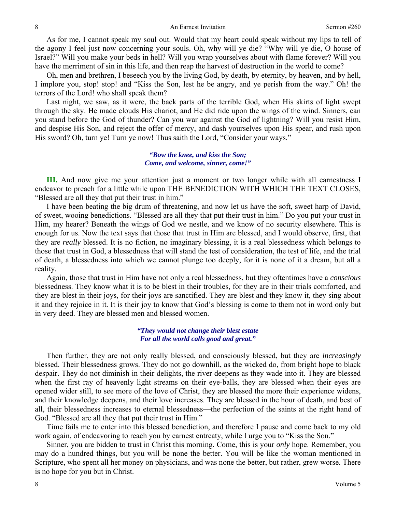As for me, I cannot speak my soul out. Would that my heart could speak without my lips to tell of the agony I feel just now concerning your souls. Oh, why will ye die? "Why will ye die, O house of Israel?" Will you make your beds in hell? Will you wrap yourselves about with flame forever? Will you have the merriment of sin in this life, and then reap the harvest of destruction in the world to come?

Oh, men and brethren, I beseech you by the living God, by death, by eternity, by heaven, and by hell, I implore you, stop! stop! and "Kiss the Son, lest he be angry, and ye perish from the way." Oh! the terrors of the Lord! who shall speak them?

Last night, we saw, as it were, the back parts of the terrible God, when His skirts of light swept through the sky. He made clouds His chariot, and He did ride upon the wings of the wind. Sinners, can you stand before the God of thunder? Can you war against the God of lightning? Will you resist Him, and despise His Son, and reject the offer of mercy, and dash yourselves upon His spear, and rush upon His sword? Oh, turn ye! Turn ye now! Thus saith the Lord, "Consider your ways."

### *"Bow the knee, and kiss the Son; Come, and welcome, sinner, come!"*

**III.** And now give me your attention just a moment or two longer while with all earnestness I endeavor to preach for a little while upon THE BENEDICTION WITH WHICH THE TEXT CLOSES, "Blessed are all they that put their trust in him."

I have been beating the big drum of threatening, and now let us have the soft, sweet harp of David, of sweet, wooing benedictions. "Blessed are all they that put their trust in him." Do you put your trust in Him, my hearer? Beneath the wings of God we nestle, and we know of no security elsewhere. This is enough for us. Now the text says that those that trust in Him are blessed, and I would observe, first, that they are *really* blessed. It is no fiction, no imaginary blessing, it is a real blessedness which belongs to those that trust in God, a blessedness that will stand the test of consideration, the test of life, and the trial of death, a blessedness into which we cannot plunge too deeply, for it is none of it a dream, but all a reality.

Again, those that trust in Him have not only a real blessedness, but they oftentimes have a *conscious* blessedness. They know what it is to be blest in their troubles, for they are in their trials comforted, and they are blest in their joys, for their joys are sanctified. They are blest and they know it, they sing about it and they rejoice in it. It is their joy to know that God's blessing is come to them not in word only but in very deed. They are blessed men and blessed women.

# *"They would not change their blest estate For all the world calls good and great."*

Then further, they are not only really blessed, and consciously blessed, but they are *increasingly* blessed. Their blessedness grows. They do not go downhill, as the wicked do, from bright hope to black despair. They do not diminish in their delights, the river deepens as they wade into it. They are blessed when the first ray of heavenly light streams on their eye-balls, they are blessed when their eyes are opened wider still, to see more of the love of Christ, they are blessed the more their experience widens, and their knowledge deepens, and their love increases. They are blessed in the hour of death, and best of all, their blessedness increases to eternal blessedness—the perfection of the saints at the right hand of God. "Blessed are all they that put their trust in Him."

Time fails me to enter into this blessed benediction, and therefore I pause and come back to my old work again, of endeavoring to reach you by earnest entreaty, while I urge you to "Kiss the Son."

Sinner, you are bidden to trust in Christ this morning. Come, this is your *only* hope. Remember, you may do a hundred things, but you will be none the better. You will be like the woman mentioned in Scripture, who spent all her money on physicians, and was none the better, but rather, grew worse. There is no hope for you but in Christ.